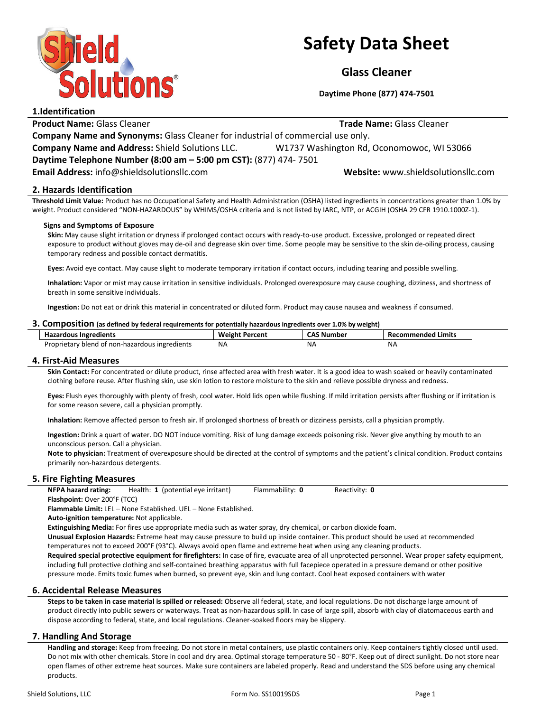

# Safety Data Sheet

Glass Cleaner

Daytime Phone (877) 474-7501

1.Identification **Product Name:** Glass Cleaner Trade Name: Glass Cleaner Trade Name: Glass Cleaner Company Name and Synonyms: Glass Cleaner for industrial of commercial use only. Company Name and Address: Shield Solutions LLC. W1737 Washington Rd, Oconomowoc, WI 53066 Daytime Telephone Number (8:00 am – 5:00 pm CST): (877) 474- 7501 Email Address: info@shieldsolutionsllc.com Website: www.shieldsolutionsllc.com

# 2. Hazards Identification

Threshold Limit Value: Product has no Occupational Safety and Health Administration (OSHA) listed ingredients in concentrations greater than 1.0% by weight. Product considered "NON-HAZARDOUS" by WHIMS/OSHA criteria and is not listed by IARC, NTP, or ACGIH (OSHA 29 CFR 1910.1000Z-1).

#### Signs and Symptoms of Exposure

Skin: May cause slight irritation or dryness if prolonged contact occurs with ready-to-use product. Excessive, prolonged or repeated direct exposure to product without gloves may de-oil and degrease skin over time. Some people may be sensitive to the skin de-oiling process, causing temporary redness and possible contact dermatitis.

Eyes: Avoid eye contact. May cause slight to moderate temporary irritation if contact occurs, including tearing and possible swelling.

Inhalation: Vapor or mist may cause irritation in sensitive individuals. Prolonged overexposure may cause coughing, dizziness, and shortness of breath in some sensitive individuals.

Ingestion: Do not eat or drink this material in concentrated or diluted form. Product may cause nausea and weakness if consumed.

#### 3. Composition (as defined by federal requirements for potentially hazardous ingredients over 1.0% by weight)

| <b>Hazardous Ingredients</b>                   | <b>Weight Percent</b> | <b>CAS Number</b> | Recommended Limits |
|------------------------------------------------|-----------------------|-------------------|--------------------|
| Proprietary blend of non-hazardous ingredients | NA.                   | ΝA                | NA                 |

#### 4. First-Aid Measures

Skin Contact: For concentrated or dilute product, rinse affected area with fresh water. It is a good idea to wash soaked or heavily contaminated clothing before reuse. After flushing skin, use skin lotion to restore moisture to the skin and relieve possible dryness and redness.

Eyes: Flush eyes thoroughly with plenty of fresh, cool water. Hold lids open while flushing. If mild irritation persists after flushing or if irritation is for some reason severe, call a physician promptly.

Inhalation: Remove affected person to fresh air. If prolonged shortness of breath or dizziness persists, call a physician promptly.

Ingestion: Drink a quart of water. DO NOT induce vomiting. Risk of lung damage exceeds poisoning risk. Never give anything by mouth to an unconscious person. Call a physician.

Note to physician: Treatment of overexposure should be directed at the control of symptoms and the patient's clinical condition. Product contains primarily non-hazardous detergents.

# 5. Fire Fighting Measures

NFPA hazard rating: Health: 1 (potential eye irritant) Flammability: 0 Reactivity: 0 Flashpoint: Over 200°F (TCC)

Flammable Limit: LEL – None Established. UEL – None Established.

Auto-ignition temperature: Not applicable.

Extinguishing Media: For fires use appropriate media such as water spray, dry chemical, or carbon dioxide foam.

Unusual Explosion Hazards: Extreme heat may cause pressure to build up inside container. This product should be used at recommended temperatures not to exceed 200°F (93°C). Always avoid open flame and extreme heat when using any cleaning products.

Required special protective equipment for firefighters: In case of fire, evacuate area of all unprotected personnel. Wear proper safety equipment, including full protective clothing and self-contained breathing apparatus with full facepiece operated in a pressure demand or other positive pressure mode. Emits toxic fumes when burned, so prevent eye, skin and lung contact. Cool heat exposed containers with water

# 6. Accidental Release Measures

Steps to be taken in case material is spilled or released: Observe all federal, state, and local regulations. Do not discharge large amount of product directly into public sewers or waterways. Treat as non-hazardous spill. In case of large spill, absorb with clay of diatomaceous earth and dispose according to federal, state, and local regulations. Cleaner-soaked floors may be slippery.

# 7. Handling And Storage

Handling and storage: Keep from freezing. Do not store in metal containers, use plastic containers only. Keep containers tightly closed until used. Do not mix with other chemicals. Store in cool and dry area. Optimal storage temperature 50 - 80°F. Keep out of direct sunlight. Do not store near open flames of other extreme heat sources. Make sure containers are labeled properly. Read and understand the SDS before using any chemical products.